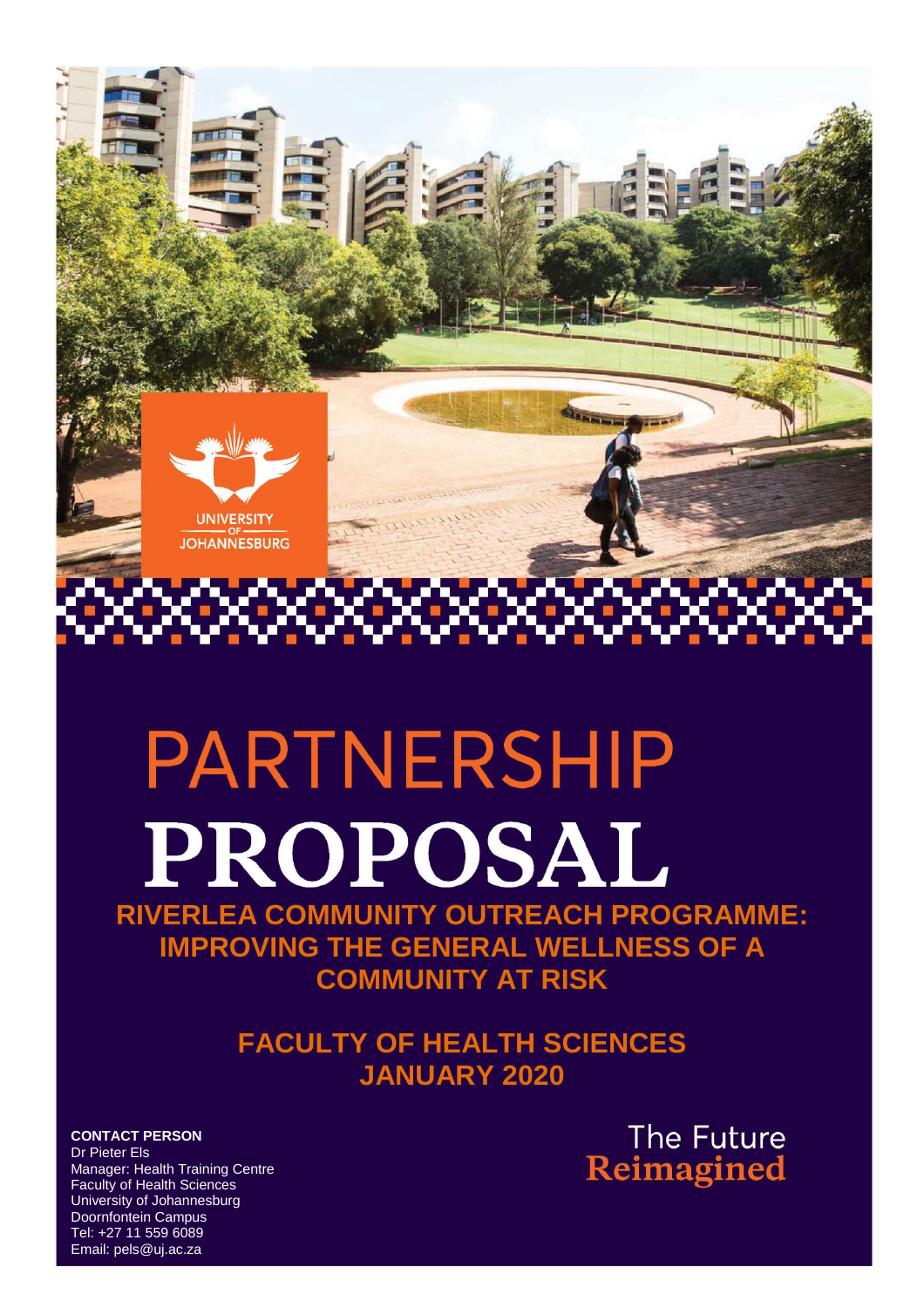

# PARTNERSHIP PROPOSAL

**RIVERLEA COMMUNITY OUTREACH PROGRAMME: IMPROVING THE GENERAL WELLNESS OF A COMMUNITY AT RISK**

> **FACULTY OF HEALTH SCIENCES JANUARY 2020**

**CONTACT PERSON** Dr Pieter Els Manager: Health Training Centre Faculty of Health Sciences University of Johannesburg Doornfontein Campus Tel: +27 11 559 6089 Email: pels@uj.ac.za

The Future Reimagined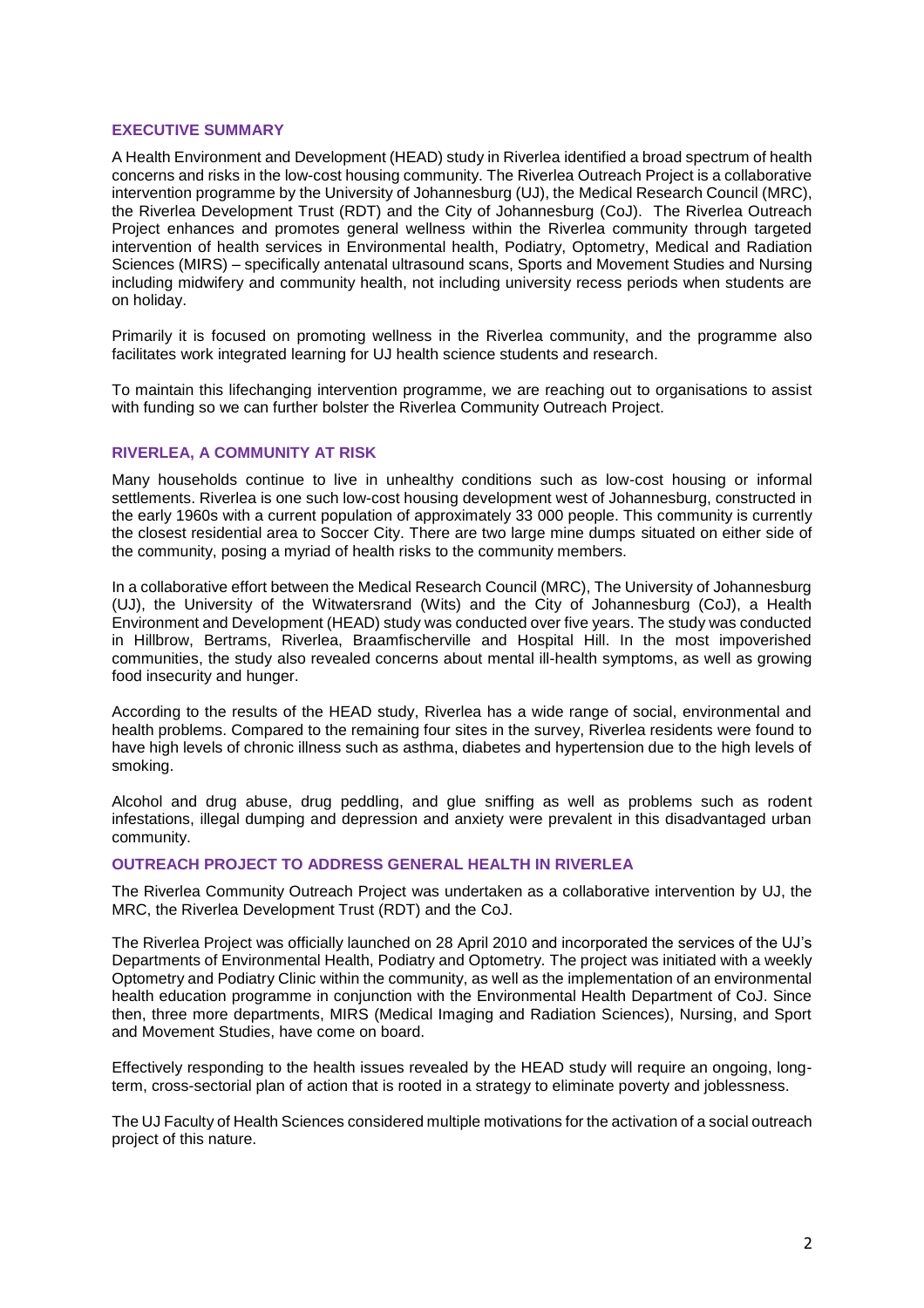# **EXECUTIVE SUMMARY**

A Health Environment and Development (HEAD) study in Riverlea identified a broad spectrum of health concerns and risks in the low-cost housing community. The Riverlea Outreach Project is a collaborative intervention programme by the University of Johannesburg (UJ), the Medical Research Council (MRC), the Riverlea Development Trust (RDT) and the City of Johannesburg (CoJ). The Riverlea Outreach Project enhances and promotes general wellness within the Riverlea community through targeted intervention of health services in Environmental health, Podiatry, Optometry, Medical and Radiation Sciences (MIRS) – specifically antenatal ultrasound scans, Sports and Movement Studies and Nursing including midwifery and community health, not including university recess periods when students are on holiday.

Primarily it is focused on promoting wellness in the Riverlea community, and the programme also facilitates work integrated learning for UJ health science students and research.

To maintain this lifechanging intervention programme, we are reaching out to organisations to assist with funding so we can further bolster the Riverlea Community Outreach Project.

## **RIVERLEA, A COMMUNITY AT RISK**

Many households continue to live in unhealthy conditions such as low-cost housing or informal settlements. Riverlea is one such low-cost housing development west of Johannesburg, constructed in the early 1960s with a current population of approximately 33 000 people. This community is currently the closest residential area to Soccer City. There are two large mine dumps situated on either side of the community, posing a myriad of health risks to the community members.

In a collaborative effort between the Medical Research Council (MRC), The University of Johannesburg (UJ), the University of the Witwatersrand (Wits) and the City of Johannesburg (CoJ), a Health Environment and Development (HEAD) study was conducted over five years. The study was conducted in Hillbrow, Bertrams, Riverlea, Braamfischerville and Hospital Hill. In the most impoverished communities, the study also revealed concerns about mental ill-health symptoms, as well as growing food insecurity and hunger.

According to the results of the HEAD study, Riverlea has a wide range of social, environmental and health problems. Compared to the remaining four sites in the survey, Riverlea residents were found to have high levels of chronic illness such as asthma, diabetes and hypertension due to the high levels of smoking.

Alcohol and drug abuse, drug peddling, and glue sniffing as well as problems such as rodent infestations, illegal dumping and depression and anxiety were prevalent in this disadvantaged urban community.

## **OUTREACH PROJECT TO ADDRESS GENERAL HEALTH IN RIVERLEA**

The Riverlea Community Outreach Project was undertaken as a collaborative intervention by UJ, the MRC, the Riverlea Development Trust (RDT) and the CoJ.

The Riverlea Project was officially launched on 28 April 2010 and incorporated the services of the UJ's Departments of Environmental Health, Podiatry and Optometry. The project was initiated with a weekly Optometry and Podiatry Clinic within the community, as well as the implementation of an environmental health education programme in conjunction with the Environmental Health Department of CoJ. Since then, three more departments, MIRS (Medical Imaging and Radiation Sciences), Nursing, and Sport and Movement Studies, have come on board.

Effectively responding to the health issues revealed by the HEAD study will require an ongoing, longterm, cross-sectorial plan of action that is rooted in a strategy to eliminate poverty and joblessness.

The UJ Faculty of Health Sciences considered multiple motivations for the activation of a social outreach project of this nature.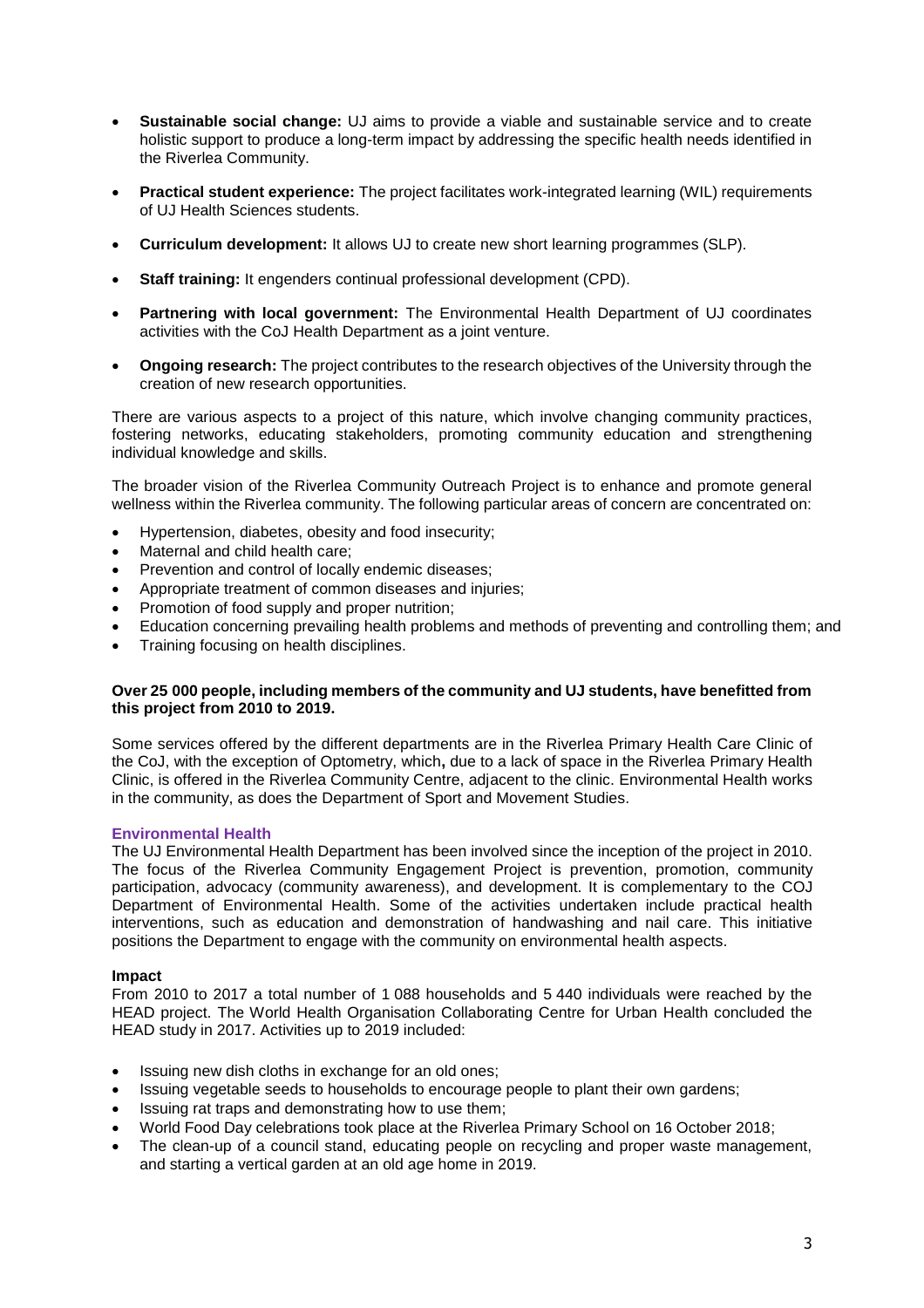- **Sustainable social change:** UJ aims to provide a viable and sustainable service and to create holistic support to produce a long-term impact by addressing the specific health needs identified in the Riverlea Community.
- **Practical student experience:** The project facilitates work-integrated learning (WIL) requirements of UJ Health Sciences students.
- **Curriculum development:** It allows UJ to create new short learning programmes (SLP).
- **Staff training:** It engenders continual professional development (CPD).
- **Partnering with local government:** The Environmental Health Department of UJ coordinates activities with the CoJ Health Department as a joint venture.
- **Ongoing research:** The project contributes to the research objectives of the University through the creation of new research opportunities.

There are various aspects to a project of this nature, which involve changing community practices, fostering networks, educating stakeholders, promoting community education and strengthening individual knowledge and skills.

The broader vision of the Riverlea Community Outreach Project is to enhance and promote general wellness within the Riverlea community. The following particular areas of concern are concentrated on:

- Hypertension, diabetes, obesity and food insecurity;
- Maternal and child health care;
- Prevention and control of locally endemic diseases;
- Appropriate treatment of common diseases and injuries;
- Promotion of food supply and proper nutrition;
- Education concerning prevailing health problems and methods of preventing and controlling them; and
- Training focusing on health disciplines.

## **Over 25 000 people, including members of the community and UJ students, have benefitted from this project from 2010 to 2019.**

Some services offered by the different departments are in the Riverlea Primary Health Care Clinic of the CoJ, with the exception of Optometry, which**,** due to a lack of space in the Riverlea Primary Health Clinic, is offered in the Riverlea Community Centre, adjacent to the clinic. Environmental Health works in the community, as does the Department of Sport and Movement Studies.

## **Environmental Health**

The UJ Environmental Health Department has been involved since the inception of the project in 2010. The focus of the Riverlea Community Engagement Project is prevention, promotion, community participation, advocacy (community awareness), and development. It is complementary to the COJ Department of Environmental Health. Some of the activities undertaken include practical health interventions, such as education and demonstration of handwashing and nail care. This initiative positions the Department to engage with the community on environmental health aspects.

## **Impact**

From 2010 to 2017 a total number of 1 088 households and 5 440 individuals were reached by the HEAD project. The World Health Organisation Collaborating Centre for Urban Health concluded the HEAD study in 2017. Activities up to 2019 included:

- Issuing new dish cloths in exchange for an old ones;
- Issuing vegetable seeds to households to encourage people to plant their own gardens;
- Issuing rat traps and demonstrating how to use them;
- World Food Day celebrations took place at the Riverlea Primary School on 16 October 2018;
- The clean-up of a council stand, educating people on recycling and proper waste management, and starting a vertical garden at an old age home in 2019.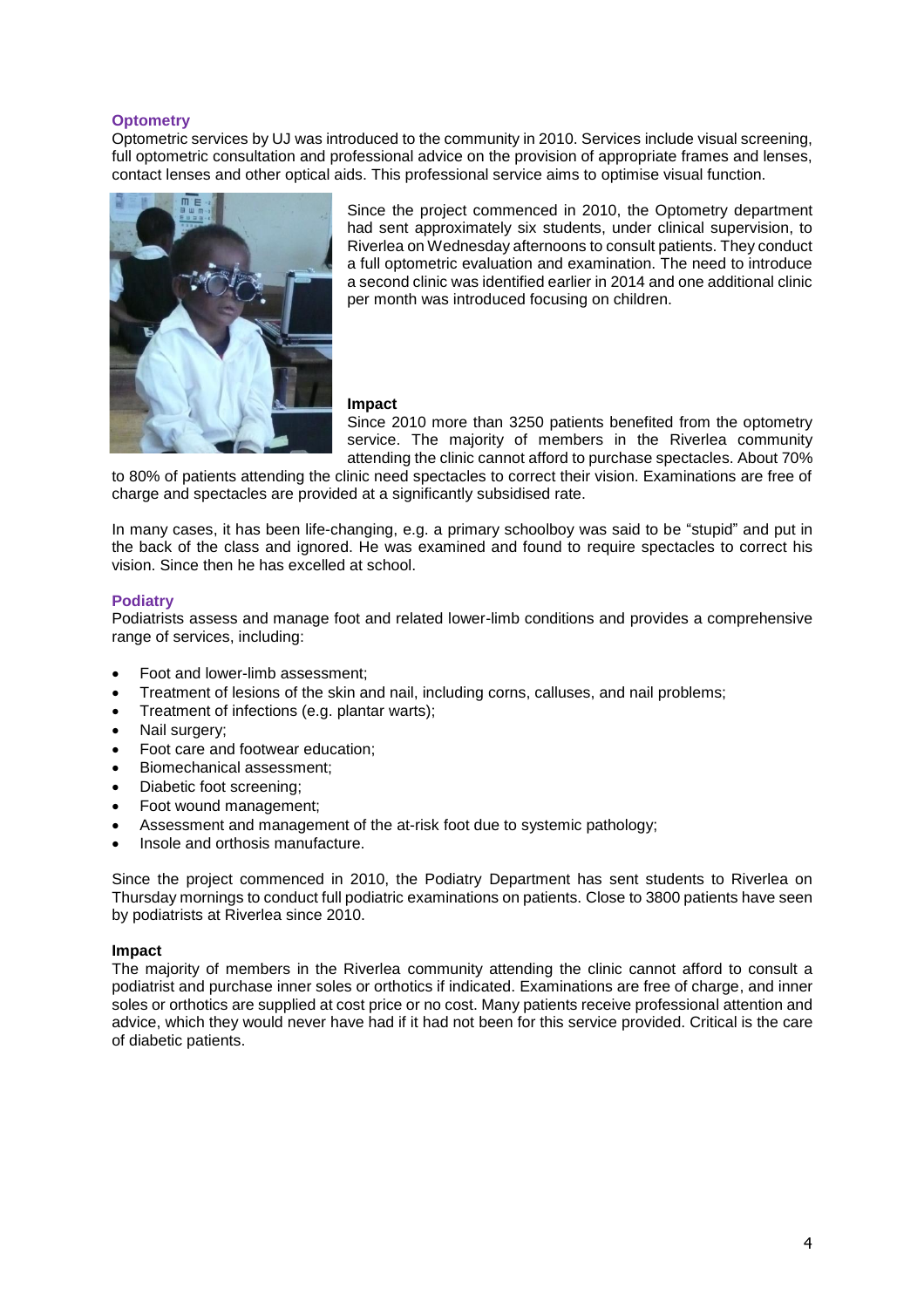# **Optometry**

Optometric services by UJ was introduced to the community in 2010. Services include visual screening, full optometric consultation and professional advice on the provision of appropriate frames and lenses, contact lenses and other optical aids. This professional service aims to optimise visual function.



Since the project commenced in 2010, the Optometry department had sent approximately six students, under clinical supervision, to Riverlea on Wednesday afternoons to consult patients. They conduct a full optometric evaluation and examination. The need to introduce a second clinic was identified earlier in 2014 and one additional clinic per month was introduced focusing on children.

## **Impact**

Since 2010 more than 3250 patients benefited from the optometry service. The majority of members in the Riverlea community attending the clinic cannot afford to purchase spectacles. About 70%

to 80% of patients attending the clinic need spectacles to correct their vision. Examinations are free of charge and spectacles are provided at a significantly subsidised rate.

In many cases, it has been life-changing, e.g. a primary schoolboy was said to be "stupid" and put in the back of the class and ignored. He was examined and found to require spectacles to correct his vision. Since then he has excelled at school.

## **Podiatry**

Podiatrists assess and manage foot and related lower-limb conditions and provides a comprehensive range of services, including:

- Foot and lower-limb assessment:
- Treatment of lesions of the skin and nail, including corns, calluses, and nail problems;
- Treatment of infections (e.g. plantar warts);
- Nail surgery;
- Foot care and footwear education;
- Biomechanical assessment;
- Diabetic foot screening;
- Foot wound management;
- Assessment and management of the at-risk foot due to systemic pathology;
- Insole and orthosis manufacture.

Since the project commenced in 2010, the Podiatry Department has sent students to Riverlea on Thursday mornings to conduct full podiatric examinations on patients. Close to 3800 patients have seen by podiatrists at Riverlea since 2010.

## **Impact**

The majority of members in the Riverlea community attending the clinic cannot afford to consult a podiatrist and purchase inner soles or orthotics if indicated. Examinations are free of charge, and inner soles or orthotics are supplied at cost price or no cost. Many patients receive professional attention and advice, which they would never have had if it had not been for this service provided. Critical is the care of diabetic patients.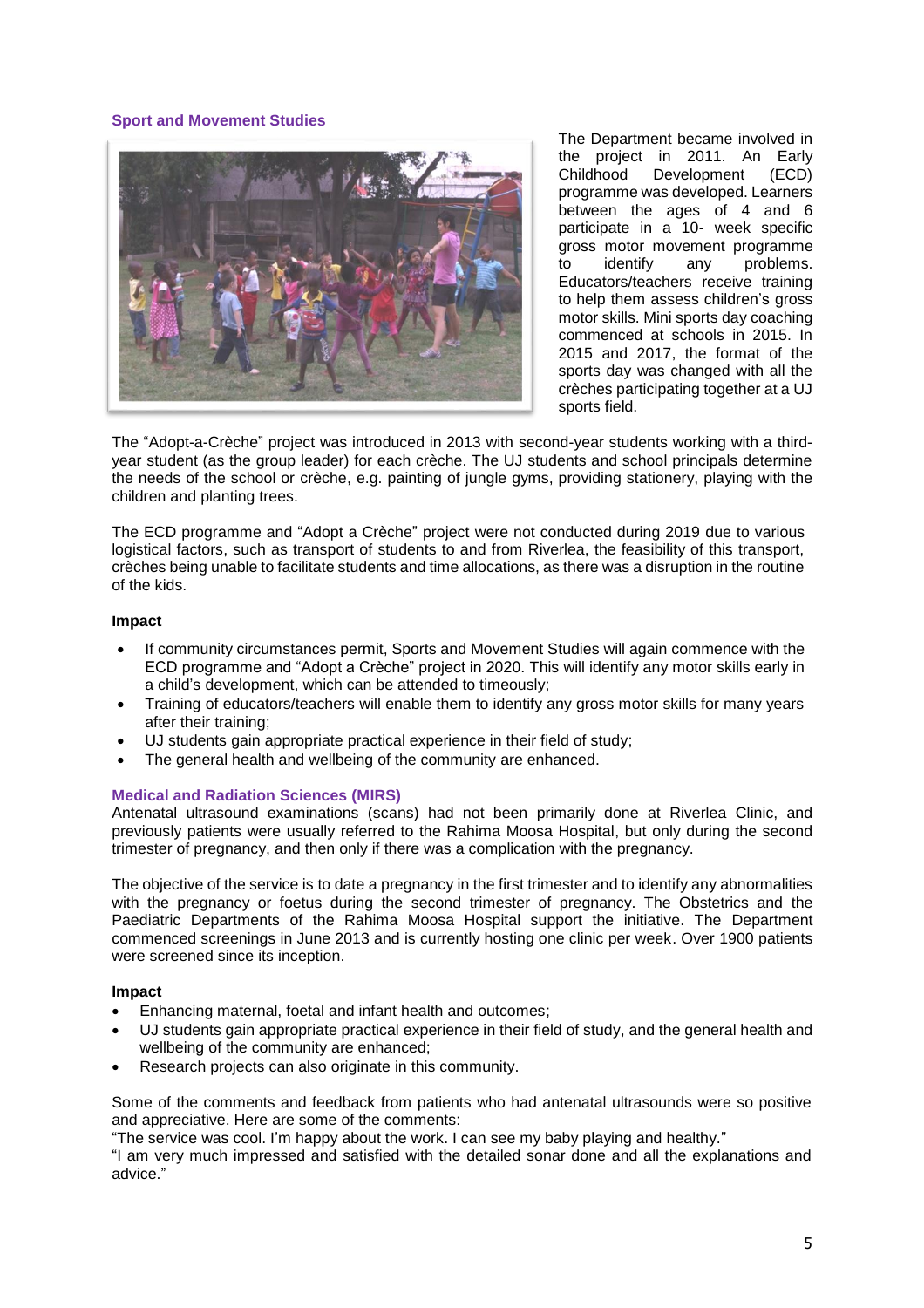## **Sport and Movement Studies**



The Department became involved in the project in 2011. An Early Childhood Development (ECD) programme was developed. Learners between the ages of 4 and 6 participate in a 10- week specific gross motor movement programme<br>to identify any problems. problems. Educators/teachers receive training to help them assess children's gross motor skills. Mini sports day coaching commenced at schools in 2015. In 2015 and 2017, the format of the sports day was changed with all the crèches participating together at a UJ sports field.

The "Adopt-a-Crèche" project was introduced in 2013 with second-year students working with a thirdyear student (as the group leader) for each crèche. The UJ students and school principals determine the needs of the school or crèche, e.g. painting of jungle gyms, providing stationery, playing with the children and planting trees.

The ECD programme and "Adopt a Crèche" project were not conducted during 2019 due to various logistical factors, such as transport of students to and from Riverlea, the feasibility of this transport, crèches being unable to facilitate students and time allocations, as there was a disruption in the routine of the kids.

## **Impact**

- If community circumstances permit, Sports and Movement Studies will again commence with the ECD programme and "Adopt a Crèche" project in 2020. This will identify any motor skills early in a child's development, which can be attended to timeously;
- Training of educators/teachers will enable them to identify any gross motor skills for many years after their training;
- UJ students gain appropriate practical experience in their field of study;
- The general health and wellbeing of the community are enhanced.

## **Medical and Radiation Sciences (MIRS)**

Antenatal ultrasound examinations (scans) had not been primarily done at Riverlea Clinic, and previously patients were usually referred to the Rahima Moosa Hospital, but only during the second trimester of pregnancy, and then only if there was a complication with the pregnancy.

The objective of the service is to date a pregnancy in the first trimester and to identify any abnormalities with the pregnancy or foetus during the second trimester of pregnancy. The Obstetrics and the Paediatric Departments of the Rahima Moosa Hospital support the initiative. The Department commenced screenings in June 2013 and is currently hosting one clinic per week. Over 1900 patients were screened since its inception.

## **Impact**

- Enhancing maternal, foetal and infant health and outcomes;
- UJ students gain appropriate practical experience in their field of study, and the general health and wellbeing of the community are enhanced;
- Research projects can also originate in this community.

Some of the comments and feedback from patients who had antenatal ultrasounds were so positive and appreciative. Here are some of the comments:

"The service was cool. I'm happy about the work. I can see my baby playing and healthy."

"I am very much impressed and satisfied with the detailed sonar done and all the explanations and advice."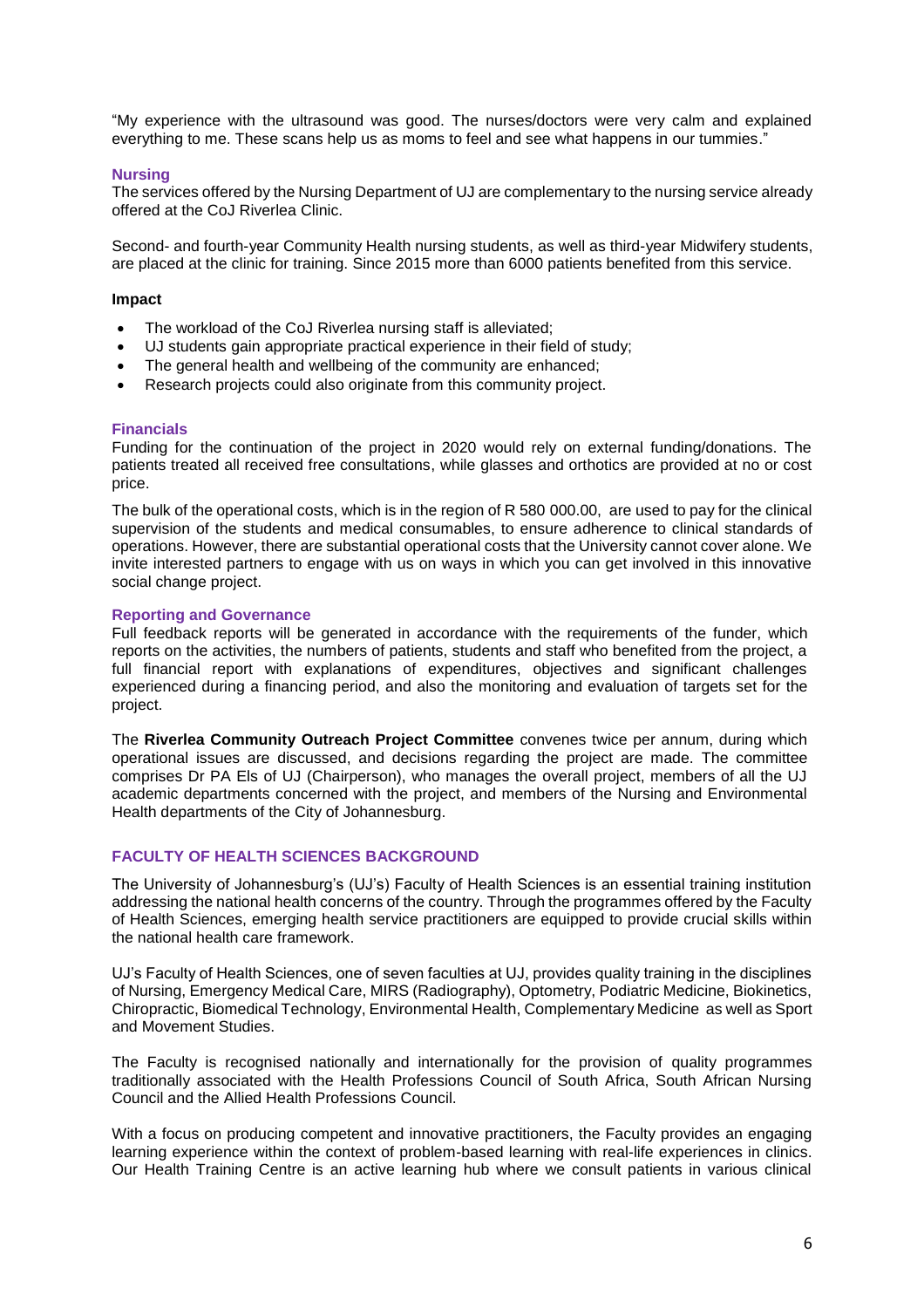"My experience with the ultrasound was good. The nurses/doctors were very calm and explained everything to me. These scans help us as moms to feel and see what happens in our tummies."

## **Nursing**

The services offered by the Nursing Department of UJ are complementary to the nursing service already offered at the CoJ Riverlea Clinic.

Second- and fourth-year Community Health nursing students, as well as third-year Midwifery students, are placed at the clinic for training. Since 2015 more than 6000 patients benefited from this service.

## **Impact**

- The workload of the CoJ Riverlea nursing staff is alleviated;
- UJ students gain appropriate practical experience in their field of study;
- The general health and wellbeing of the community are enhanced;
- Research projects could also originate from this community project.

## **Financials**

Funding for the continuation of the project in 2020 would rely on external funding/donations. The patients treated all received free consultations, while glasses and orthotics are provided at no or cost price.

The bulk of the operational costs, which is in the region of R 580 000.00, are used to pay for the clinical supervision of the students and medical consumables, to ensure adherence to clinical standards of operations. However, there are substantial operational costs that the University cannot cover alone. We invite interested partners to engage with us on ways in which you can get involved in this innovative social change project.

## **Reporting and Governance**

Full feedback reports will be generated in accordance with the requirements of the funder, which reports on the activities, the numbers of patients, students and staff who benefited from the project, a full financial report with explanations of expenditures, objectives and significant challenges experienced during a financing period, and also the monitoring and evaluation of targets set for the project.

The **Riverlea Community Outreach Project Committee** convenes twice per annum, during which operational issues are discussed, and decisions regarding the project are made. The committee comprises Dr PA Els of UJ (Chairperson), who manages the overall project, members of all the UJ academic departments concerned with the project, and members of the Nursing and Environmental Health departments of the City of Johannesburg.

# **FACULTY OF HEALTH SCIENCES BACKGROUND**

The University of Johannesburg's (UJ's) Faculty of Health Sciences is an essential training institution addressing the national health concerns of the country. Through the programmes offered by the Faculty of Health Sciences, emerging health service practitioners are equipped to provide crucial skills within the national health care framework.

UJ's Faculty of Health Sciences, one of seven faculties at UJ, provides quality training in the disciplines of Nursing, Emergency Medical Care, MIRS (Radiography), Optometry, Podiatric Medicine, Biokinetics, Chiropractic, Biomedical Technology, Environmental Health, Complementary Medicine as well as Sport and Movement Studies.

The Faculty is recognised nationally and internationally for the provision of quality programmes traditionally associated with the Health Professions Council of South Africa, South African Nursing Council and the Allied Health Professions Council.

With a focus on producing competent and innovative practitioners, the Faculty provides an engaging learning experience within the context of problem-based learning with real-life experiences in clinics. Our Health Training Centre is an active learning hub where we consult patients in various clinical